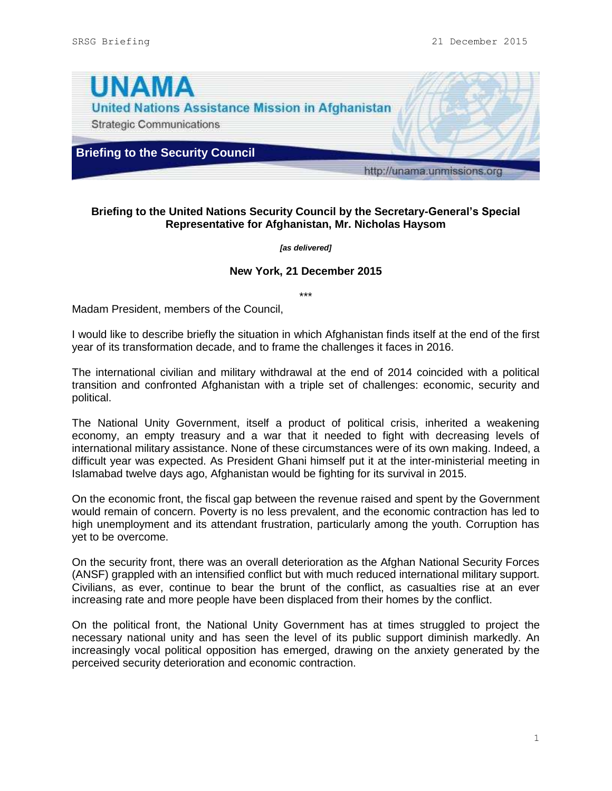

## **Briefing to the United Nations Security Council by the Secretary-General's Special Representative for Afghanistan, Mr. Nicholas Haysom**

*[as delivered]*

## **New York, 21 December 2015**

\*\*\*

Madam President, members of the Council,

I would like to describe briefly the situation in which Afghanistan finds itself at the end of the first year of its transformation decade, and to frame the challenges it faces in 2016.

The international civilian and military withdrawal at the end of 2014 coincided with a political transition and confronted Afghanistan with a triple set of challenges: economic, security and political.

The National Unity Government, itself a product of political crisis, inherited a weakening economy, an empty treasury and a war that it needed to fight with decreasing levels of international military assistance. None of these circumstances were of its own making. Indeed, a difficult year was expected. As President Ghani himself put it at the inter-ministerial meeting in Islamabad twelve days ago, Afghanistan would be fighting for its survival in 2015.

On the economic front, the fiscal gap between the revenue raised and spent by the Government would remain of concern. Poverty is no less prevalent, and the economic contraction has led to high unemployment and its attendant frustration, particularly among the youth. Corruption has yet to be overcome.

On the security front, there was an overall deterioration as the Afghan National Security Forces (ANSF) grappled with an intensified conflict but with much reduced international military support. Civilians, as ever, continue to bear the brunt of the conflict, as casualties rise at an ever increasing rate and more people have been displaced from their homes by the conflict.

On the political front, the National Unity Government has at times struggled to project the necessary national unity and has seen the level of its public support diminish markedly. An increasingly vocal political opposition has emerged, drawing on the anxiety generated by the perceived security deterioration and economic contraction.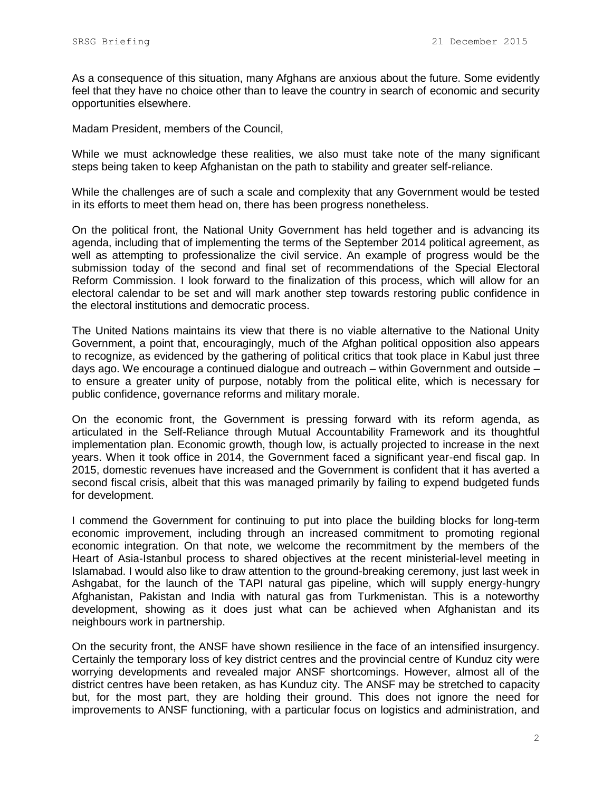As a consequence of this situation, many Afghans are anxious about the future. Some evidently feel that they have no choice other than to leave the country in search of economic and security opportunities elsewhere.

Madam President, members of the Council,

While we must acknowledge these realities, we also must take note of the many significant steps being taken to keep Afghanistan on the path to stability and greater self-reliance.

While the challenges are of such a scale and complexity that any Government would be tested in its efforts to meet them head on, there has been progress nonetheless.

On the political front, the National Unity Government has held together and is advancing its agenda, including that of implementing the terms of the September 2014 political agreement, as well as attempting to professionalize the civil service. An example of progress would be the submission today of the second and final set of recommendations of the Special Electoral Reform Commission. I look forward to the finalization of this process, which will allow for an electoral calendar to be set and will mark another step towards restoring public confidence in the electoral institutions and democratic process.

The United Nations maintains its view that there is no viable alternative to the National Unity Government, a point that, encouragingly, much of the Afghan political opposition also appears to recognize, as evidenced by the gathering of political critics that took place in Kabul just three days ago. We encourage a continued dialogue and outreach – within Government and outside – to ensure a greater unity of purpose, notably from the political elite, which is necessary for public confidence, governance reforms and military morale.

On the economic front, the Government is pressing forward with its reform agenda, as articulated in the Self-Reliance through Mutual Accountability Framework and its thoughtful implementation plan. Economic growth, though low, is actually projected to increase in the next years. When it took office in 2014, the Government faced a significant year-end fiscal gap. In 2015, domestic revenues have increased and the Government is confident that it has averted a second fiscal crisis, albeit that this was managed primarily by failing to expend budgeted funds for development.

I commend the Government for continuing to put into place the building blocks for long-term economic improvement, including through an increased commitment to promoting regional economic integration. On that note, we welcome the recommitment by the members of the Heart of Asia-Istanbul process to shared objectives at the recent ministerial-level meeting in Islamabad. I would also like to draw attention to the ground-breaking ceremony, just last week in Ashgabat, for the launch of the TAPI natural gas pipeline, which will supply energy-hungry Afghanistan, Pakistan and India with natural gas from Turkmenistan. This is a noteworthy development, showing as it does just what can be achieved when Afghanistan and its neighbours work in partnership.

On the security front, the ANSF have shown resilience in the face of an intensified insurgency. Certainly the temporary loss of key district centres and the provincial centre of Kunduz city were worrying developments and revealed major ANSF shortcomings. However, almost all of the district centres have been retaken, as has Kunduz city. The ANSF may be stretched to capacity but, for the most part, they are holding their ground. This does not ignore the need for improvements to ANSF functioning, with a particular focus on logistics and administration, and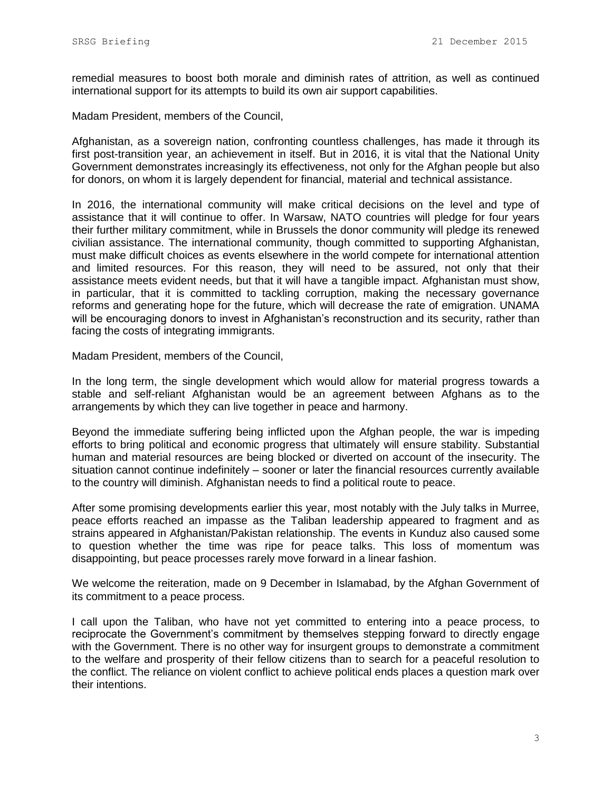remedial measures to boost both morale and diminish rates of attrition, as well as continued international support for its attempts to build its own air support capabilities.

Madam President, members of the Council,

Afghanistan, as a sovereign nation, confronting countless challenges, has made it through its first post-transition year, an achievement in itself. But in 2016, it is vital that the National Unity Government demonstrates increasingly its effectiveness, not only for the Afghan people but also for donors, on whom it is largely dependent for financial, material and technical assistance.

In 2016, the international community will make critical decisions on the level and type of assistance that it will continue to offer. In Warsaw, NATO countries will pledge for four years their further military commitment, while in Brussels the donor community will pledge its renewed civilian assistance. The international community, though committed to supporting Afghanistan, must make difficult choices as events elsewhere in the world compete for international attention and limited resources. For this reason, they will need to be assured, not only that their assistance meets evident needs, but that it will have a tangible impact. Afghanistan must show, in particular, that it is committed to tackling corruption, making the necessary governance reforms and generating hope for the future, which will decrease the rate of emigration. UNAMA will be encouraging donors to invest in Afghanistan's reconstruction and its security, rather than facing the costs of integrating immigrants.

Madam President, members of the Council,

In the long term, the single development which would allow for material progress towards a stable and self-reliant Afghanistan would be an agreement between Afghans as to the arrangements by which they can live together in peace and harmony.

Beyond the immediate suffering being inflicted upon the Afghan people, the war is impeding efforts to bring political and economic progress that ultimately will ensure stability. Substantial human and material resources are being blocked or diverted on account of the insecurity. The situation cannot continue indefinitely – sooner or later the financial resources currently available to the country will diminish. Afghanistan needs to find a political route to peace.

After some promising developments earlier this year, most notably with the July talks in Murree, peace efforts reached an impasse as the Taliban leadership appeared to fragment and as strains appeared in Afghanistan/Pakistan relationship. The events in Kunduz also caused some to question whether the time was ripe for peace talks. This loss of momentum was disappointing, but peace processes rarely move forward in a linear fashion.

We welcome the reiteration, made on 9 December in Islamabad, by the Afghan Government of its commitment to a peace process.

I call upon the Taliban, who have not yet committed to entering into a peace process, to reciprocate the Government's commitment by themselves stepping forward to directly engage with the Government. There is no other way for insurgent groups to demonstrate a commitment to the welfare and prosperity of their fellow citizens than to search for a peaceful resolution to the conflict. The reliance on violent conflict to achieve political ends places a question mark over their intentions.